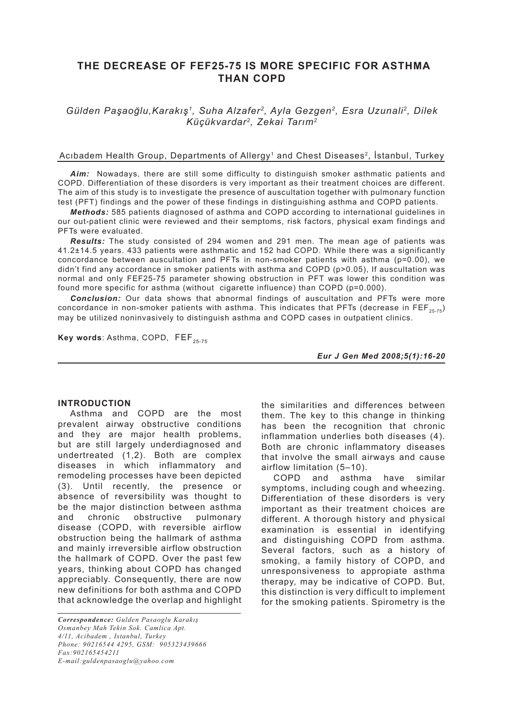# **THE DECREASE OF FEF25-75 IS MORE SPECIFIC FOR ASTHMA THAN COPD**

## *Gülden Paşaoğlu,Karakış1, Suha Alzafer2, Ayla Gezgen2, Esra Uzunali2, Dilek Küçükvardar2, Zekai Tarım2*

## Acıbadem Health Group, Departments of Allergy<sup>1</sup> and Chest Diseases<sup>2</sup>, İstanbul, Turkey

*Aim:* Nowadays, there are still some difficulty to distinguish smoker asthmatic patients and COPD. Differentiation of these disorders is very important as their treatment choices are different. The aim of this study is to investigate the presence of auscultation together with pulmonary function test (PFT) findings and the power of these findings in distinguishing asthma and COPD patients.

*Methods:* 585 patients diagnosed of asthma and COPD according to international guidelines in our out-patient clinic were reviewed and their semptoms, risk factors, physical exam findings and PFTs were evaluated.

*Results:* The study consisted of 294 women and 291 men. The mean age of patients was 41.2±14.5 years. 433 patients were asthmatic and 152 had COPD. While there was a significantly concordance between auscultation and PFTs in non-smoker patients with asthma (p=0.00), we didn't find any accordance in smoker patients with asthma and COPD (p>0.05), If auscultation was normal and only FEF25-75 parameter showing obstruction in PFT was lower this condition was found more specific for asthma (without cigarette influence) than COPD (p=0.000).

*Conclusion:* Our data shows that abnormal findings of auscultation and PFTs were more concordance in non-smoker patients with asthma. This indicates that PFTs (decrease in FEF<sub>25-75</sub>) may be utilized noninvasively to distinguish asthma and COPD cases in outpatient clinics.

Key words: Asthma, COPD, FEF<sub>25-75</sub>

*Eur J Gen Med 2008;5(1):16-20*

#### **INTRODUCTION**

Asthma and COPD are the most prevalent airway obstructive conditions and they are major health problems, but are still largely underdiagnosed and undertreated (1,2). Both are complex diseases in which inflammatory and remodeling processes have been depicted (3). Until recently, the presence or absence of reversibility was thought to be the major distinction between asthma and chronic obstructive pulmonary disease (COPD, with reversible airflow obstruction being the hallmark of asthma and mainly irreversible airflow obstruction the hallmark of COPD. Over the past few years, thinking about COPD has changed appreciably. Consequently, there are now new definitions for both asthma and COPD that acknowledge the overlap and highlight the similarities and differences between them. The key to this change in thinking has been the recognition that chronic inflammation underlies both diseases (4). Both are chronic inflammatory diseases that involve the small airways and cause airflow limitation (5–10).

COPD and asthma have similar symptoms, including cough and wheezing. Differentiation of these disorders is very important as their treatment choices are different. A thorough history and physical examination is essential in identifying and distinguishing COPD from asthma. Several factors, such as a history of smoking, a family history of COPD, and unresponsiveness to appropiate asthma therapy, may be indicative of COPD. But, this distinction is very difficult to implement for the smoking patients. Spirometry is the

*Correspondence: Gulden Pasaoglu Karakış Osmanbey Mah Tekin Sok. Camlica Apt. 4/11, Acibadem , Istanbul, Turkey Phone: 90216544 4295, GSM: 905323439666 Fax:902165454211 E-mail:guldenpasaoglu@yahoo.com*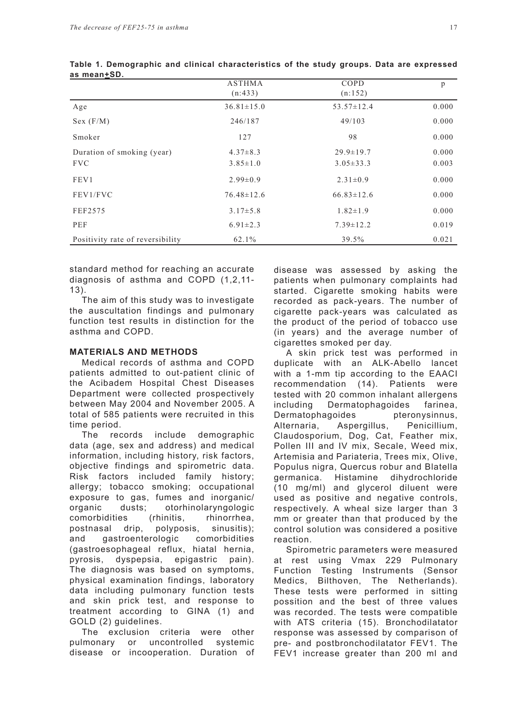|                                  | <b>ASTHMA</b><br>(n:433) | COPD<br>(n:152)  | p     |
|----------------------------------|--------------------------|------------------|-------|
| Age                              | $36.81 \pm 15.0$         | $53.57 \pm 12.4$ | 0.000 |
| Sex (F/M)                        | 246/187                  | 49/103           | 0.000 |
| Smoker                           | 127                      | 98               | 0.000 |
| Duration of smoking (year)       | $4.37 \pm 8.3$           | $29.9 \pm 19.7$  | 0.000 |
| <b>FVC</b>                       | $3.85 \pm 1.0$           | $3.05 \pm 33.3$  | 0.003 |
| FEV1                             | $2.99 \pm 0.9$           | $2.31 \pm 0.9$   | 0.000 |
| FEV1/FVC                         | $76.48 \pm 12.6$         | $66.83 \pm 12.6$ | 0.000 |
| FEF2575                          | $3.17 \pm 5.8$           | $1.82 \pm 1.9$   | 0.000 |
| PEF                              | $6.91 \pm 2.3$           | $7.39 \pm 12.2$  | 0.019 |
| Positivity rate of reversibility | 62.1%                    | 39.5%            | 0.021 |

|             | Table 1. Demographic and clinical characteristics of the study groups. Data are expressed |  |  |  |  |  |
|-------------|-------------------------------------------------------------------------------------------|--|--|--|--|--|
| as mean+SD. |                                                                                           |  |  |  |  |  |

standard method for reaching an accurate diagnosis of asthma and COPD (1,2,11- 13).

The aim of this study was to investigate the auscultation findings and pulmonary function test results in distinction for the asthma and COPD.

#### **MATERIALS AND METHODS**

Medical records of asthma and COPD patients admitted to out-patient clinic of the Acibadem Hospital Chest Diseases Department were collected prospectively between May 2004 and November 2005. A total of 585 patients were recruited in this time period.

The records include demographic data (age, sex and address) and medical information, including history, risk factors, objective findings and spirometric data. Risk factors included family history; allergy; tobacco smoking; occupational exposure to gas, fumes and inorganic/ organic dusts; otorhinolaryngologic comorbidities (rhinitis, rhinorrhea, postnasal drip, polyposis, sinusitis); and gastroenterologic comorbidities (gastroesophageal reflux, hiatal hernia, pyrosis, dyspepsia, epigastric pain). The diagnosis was based on symptoms, physical examination findings, laboratory data including pulmonary function tests and skin prick test, and response to treatment according to GINA (1) and GOLD (2) guidelines.

The exclusion criteria were other pulmonary or uncontrolled systemic disease or incooperation. Duration of disease was assessed by asking the patients when pulmonary complaints had started. Cigarette smoking habits were recorded as pack-years. The number of cigarette pack-years was calculated as the product of the period of tobacco use (in years) and the average number of cigarettes smoked per day.

A skin prick test was performed in duplicate with an ALK-Abello lancet with a 1-mm tip according to the EAACI recommendation (14). Patients were tested with 20 common inhalant allergens including Dermatophagoides farinea, Dermatophagoides pteronysinnus, Alternaria, Aspergillus, Penicillium, Claudosporium, Dog, Cat, Feather mix, Pollen III and IV mix, Secale, Weed mix, Artemisia and Pariateria, Trees mix, Olive, Populus nigra, Quercus robur and Blatella germanica. Histamine dihydrochloride (10 mg/ml) and glycerol diluent were used as positive and negative controls, respectively. A wheal size larger than 3 mm or greater than that produced by the control solution was considered a positive reaction.

Spirometric parameters were measured at rest using Vmax 229 Pulmonary Function Testing Instruments (Sensor Medics, Bilthoven, The Netherlands). These tests were performed in sitting possition and the best of three values was recorded. The tests were compatible with ATS criteria (15). Bronchodilatator response was assessed by comparison of pre- and postbronchodilatator FEV1. The FEV1 increase greater than 200 ml and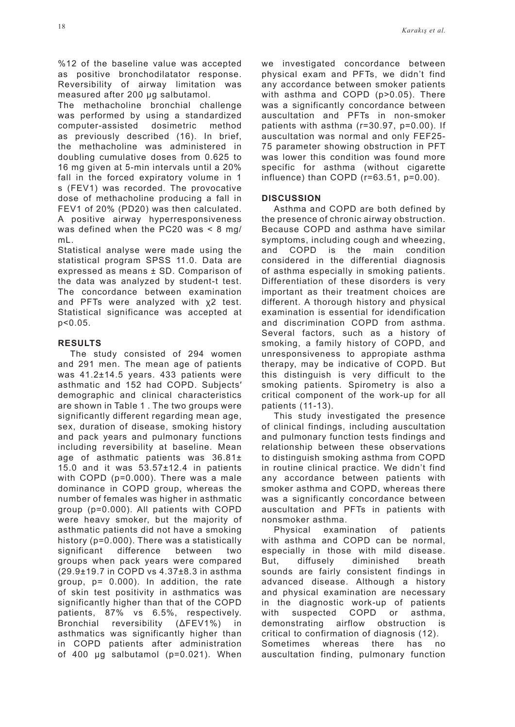%12 of the baseline value was accepted as positive bronchodilatator response. Reversibility of airway limitation was measured after 200 μg salbutamol.

The methacholine bronchial challenge was performed by using a standardized computer-assisted dosimetric method as previously described (16). In brief, the methacholine was administered in doubling cumulative doses from 0.625 to 16 mg given at 5-min intervals until a 20% fall in the forced expiratory volume in 1 s (FEV1) was recorded. The provocative dose of methacholine producing a fall in FEV1 of 20% (PD20) was then calculated. A positive airway hyperresponsiveness was defined when the PC20 was < 8 mg/ mL.

Statistical analyse were made using the statistical program SPSS 11.0. Data are expressed as means ± SD. Comparison of the data was analyzed by student-t test. The concordance between examination and PFTs were analyzed with χ2 test. Statistical significance was accepted at p<0.05.

#### **RESULTS**

The study consisted of 294 women and 291 men. The mean age of patients was 41.2±14.5 years. 433 patients were asthmatic and 152 had COPD. Subjects′ demographic and clinical characteristics are shown in Table 1 . The two groups were significantly different regarding mean age, sex, duration of disease, smoking history and pack years and pulmonary functions including reversibility at baseline. Mean age of asthmatic patients was 36.81± 15.0 and it was 53.57±12.4 in patients with COPD (p=0.000). There was a male dominance in COPD group, whereas the number of females was higher in asthmatic group (p=0.000). All patients with COPD were heavy smoker, but the majority of asthmatic patients did not have a smoking history (p=0.000). There was a statistically significant difference between two groups when pack years were compared (29.9±19.7 in COPD vs 4.37±8.3 in asthma group, p= 0.000). In addition, the rate of skin test positivity in asthmatics was significantly higher than that of the COPD patients, 87% vs 6.5%, respectively. Bronchial reversibility (ΔFEV1%) in asthmatics was significantly higher than in COPD patients after administration of 400 μg salbutamol (p=0.021). When

we investigated concordance between physical exam and PFTs, we didn't find any accordance between smoker patients with asthma and COPD (p>0.05). There was a significantly concordance between auscultation and PFTs in non-smoker patients with asthma (r=30.97, p=0.00). If auscultation was normal and only FEF25- 75 parameter showing obstruction in PFT was lower this condition was found more specific for asthma (without cigarette influence) than COPD (r=63.51, p=0.00).

## **DISCUSSION**

Asthma and COPD are both defined by the presence of chronic airway obstruction. Because COPD and asthma have similar symptoms, including cough and wheezing, and COPD is the main condition considered in the differential diagnosis of asthma especially in smoking patients. Differentiation of these disorders is very important as their treatment choices are different. A thorough history and physical examination is essential for idendification and discrimination COPD from asthma. Several factors, such as a history of smoking, a family history of COPD, and unresponsiveness to appropiate asthma therapy, may be indicative of COPD. But this distinguish is very difficult to the smoking patients. Spirometry is also a critical component of the work-up for all patients (11-13).

This study investigated the presence of clinical findings, including auscultation and pulmonary function tests findings and relationship between these observations to distinguish smoking asthma from COPD in routine clinical practice. We didn't find any accordance between patients with smoker asthma and COPD, whereas there was a significantly concordance between auscultation and PFTs in patients with nonsmoker asthma.

Physical examination of patients with asthma and COPD can be normal, especially in those with mild disease. But, diffusely diminished breath sounds are fairly consistent findings in advanced disease. Although a history and physical examination are necessary in the diagnostic work-up of patients with suspected COPD or asthma. demonstrating airflow obstruction is critical to confirmation of diagnosis (12). Sometimes whereas there has no auscultation finding, pulmonary function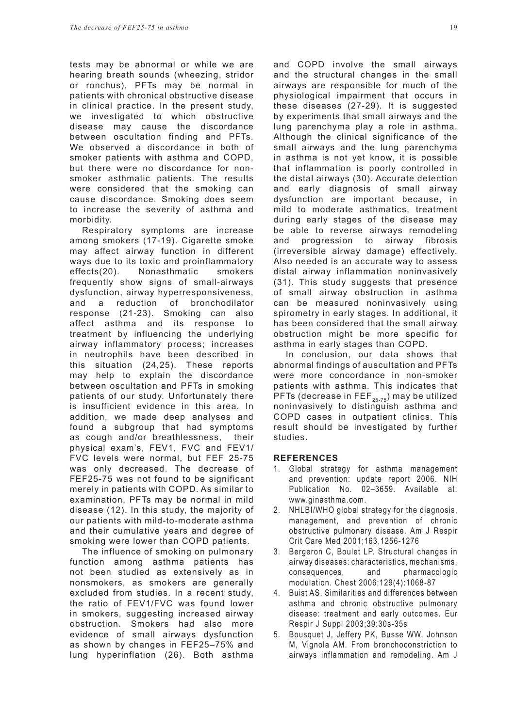tests may be abnormal or while we are hearing breath sounds (wheezing, stridor or ronchus), PFTs may be normal in patients with chronical obstructive disease in clinical practice. In the present study, we investigated to which obstructive disease may cause the discordance between oscultation finding and PFTs. We observed a discordance in both of smoker patients with asthma and COPD, but there were no discordance for nonsmoker asthmatic patients. The results were considered that the smoking can cause discordance. Smoking does seem to increase the severity of asthma and morbidity.

Respiratory symptoms are increase among smokers (17-19). Cigarette smoke may affect airway function in different ways due to its toxic and proinflammatory effects(20). Nonasthmatic smokers frequently show signs of small-airways dysfunction, airway hyperresponsiveness, and a reduction of bronchodilator response (21-23). Smoking can also affect asthma and its response to treatment by influencing the underlying airway inflammatory process; increases in neutrophils have been described in this situation (24,25). These reports may help to explain the discordance between oscultation and PFTs in smoking patients of our study. Unfortunately there is insufficient evidence in this area. In addition, we made deep analyses and found a subgroup that had symptoms as cough and/or breathlessness, their physical exam's, FEV1, FVC and FEV1/ FVC levels were normal, but FEF 25-75 was only decreased. The decrease of FEF25-75 was not found to be significant merely in patients with COPD. As similar to examination, PFTs may be normal in mild disease (12). In this study, the majority of our patients with mild-to-moderate asthma and their cumulative years and degree of smoking were lower than COPD patients.

The influence of smoking on pulmonary function among asthma patients has not been studied as extensively as in nonsmokers, as smokers are generally excluded from studies. In a recent study, the ratio of FEV1/FVC was found lower in smokers, suggesting increased airway obstruction. Smokers had also more evidence of small airways dysfunction as shown by changes in FEF25–75% and lung hyperinflation (26). Both asthma and COPD involve the small airways and the structural changes in the small airways are responsible for much of the physiological impairment that occurs in these diseases (27-29). It is suggested by experiments that small airways and the lung parenchyma play a role in asthma. Although the clinical significance of the small airways and the lung parenchyma in asthma is not yet know, it is possible that inflammation is poorly controlled in the distal airways (30). Accurate detection and early diagnosis of small airway dysfunction are important because, in mild to moderate asthmatics, treatment during early stages of the disease may be able to reverse airways remodeling and progression to airway fibrosis (irreversible airway damage) effectively. Also needed is an accurate way to assess distal airway inflammation noninvasively (31). This study suggests that presence of small airway obstruction in asthma can be measured noninvasively using spirometry in early stages. In additional, it has been considered that the small airway obstruction might be more specific for asthma in early stages than COPD.

In conclusion, our data shows that abnormal findings of auscultation and PFTs were more concordance in non-smoker patients with asthma. This indicates that PFTs (decrease in FEF $_{25-75}$ ) may be utilized noninvasively to distinguish asthma and COPD cases in outpatient clinics. This result should be investigated by further studies.

#### **REFERENCES**

- 1. Global strategy for asthma management and prevention: update report 2006. NIH Publication No. 02–3659. Available at: www.ginasthma.com.
- 2. NHLBI/WHO global strategy for the diagnosis, management, and prevention of chronic obstructive pulmonary disease. Am J Respir Crit Care Med 2001;163,1256-1276
- 3. Bergeron C, Boulet LP. Structural changes in airway diseases: characteristics, mechanisms, consequences, and pharmacologic modulation. Chest 2006;129(4):1068-87
- 4. Buist AS. Similarities and differences between asthma and chronic obstructive pulmonary disease: treatment and early outcomes. Eur Respir J Suppl 2003;39:30s-35s
- 5. Bousquet J, Jeffery PK, Busse WW, Johnson M, Vignola AM. From bronchoconstriction to airways inflammation and remodeling. Am J